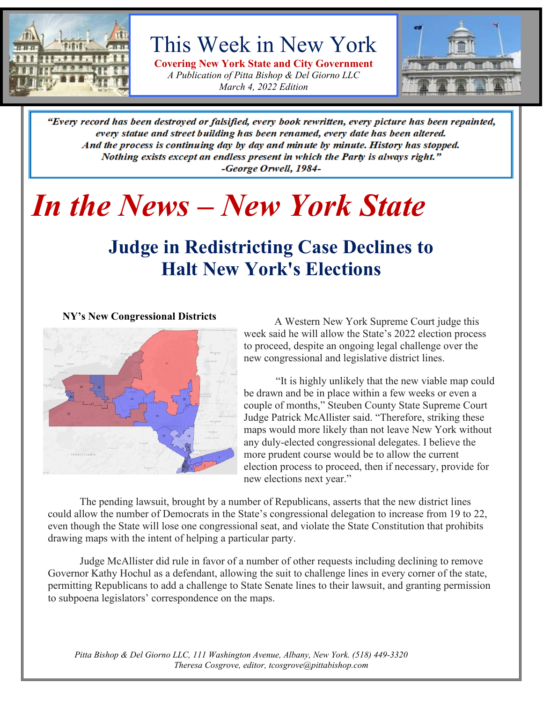

# This Week in New York

**Covering New York State and City Government** *A Publication of Pitta Bishop & Del Giorno LLC March 4, 2022 Edition*



"Every record has been destroyed or falsified, every book rewritten, every picture has been repainted, every statue and street building has been renamed, every date has been altered. And the process is continuing day by day and minute by minute. History has stopped. Nothing exists except an endless present in which the Party is always right." -George Orwell, 1984-

# *In the News – New York State*

# **Judge in Redistricting Case Declines to Halt New York's Elections**

**NY's New Congressional Districts**



A Western New York Supreme Court judge this week said he will allow the State's 2022 election process to proceed, despite an ongoing legal challenge over the new congressional and legislative district lines.

"It is highly unlikely that the new viable map could be drawn and be in place within a few weeks or even a couple of months," Steuben County State Supreme Court Judge Patrick McAllister said. "Therefore, striking these maps would more likely than not leave New York without any duly-elected congressional delegates. I believe the more prudent course would be to allow the current election process to proceed, then if necessary, provide for new elections next year."

The pending lawsuit, brought by a number of Republicans, asserts that the new district lines could allow the number of Democrats in the State's congressional delegation to increase from 19 to 22, even though the State will lose one congressional seat, and violate the State Constitution that prohibits drawing maps with the intent of helping a particular party.

Judge McAllister did rule in favor of a number of other requests including declining to remove Governor Kathy Hochul as a defendant, allowing the suit to challenge lines in every corner of the state, permitting Republicans to add a challenge to State Senate lines to their lawsuit, and granting permission to subpoena legislators' correspondence on the maps.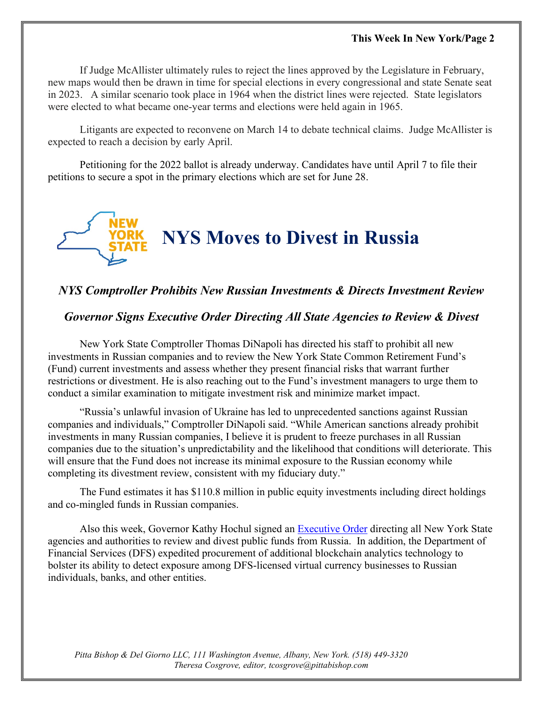If Judge McAllister ultimately rules to reject the lines approved by the Legislature in February, new maps would then be drawn in time for special elections in every congressional and state Senate seat in 2023. A similar scenario took place in 1964 when the district lines were rejected. State legislators were elected to what became one-year terms and elections were held again in 1965.

Litigants are expected to reconvene on March 14 to debate technical claims. Judge McAllister is expected to reach a decision by early April.

Petitioning for the 2022 ballot is already underway. Candidates have until April 7 to file their petitions to secure a spot in the primary elections which are set for June 28.



### *NYS Comptroller Prohibits New Russian Investments & Directs Investment Review*

#### *Governor Signs Executive Order Directing All State Agencies to Review & Divest*

New York State Comptroller Thomas DiNapoli has directed his staff to prohibit all new investments in Russian companies and to review the New York State Common Retirement Fund's (Fund) current investments and assess whether they present financial risks that warrant further restrictions or divestment. He is also reaching out to the Fund's investment managers to urge them to conduct a similar examination to mitigate investment risk and minimize market impact.

"Russia's unlawful invasion of Ukraine has led to unprecedented sanctions against Russian companies and individuals," Comptroller DiNapoli said. "While American sanctions already prohibit investments in many Russian companies, I believe it is prudent to freeze purchases in all Russian companies due to the situation's unpredictability and the likelihood that conditions will deteriorate. This will ensure that the Fund does not increase its minimal exposure to the Russian economy while completing its divestment review, consistent with my fiduciary duty."

The Fund estimates it has \$110.8 million in public equity investments including direct holdings and co-mingled funds in Russian companies.

Also this week, Governor Kathy Hochul signed an [Executive Order](https://www.governor.ny.gov/sites/default/files/2022-02/Executive%20Order%20No.%2014.pdf) directing all New York State agencies and authorities to review and divest public funds from Russia. In addition, the Department of Financial Services (DFS) expedited procurement of additional blockchain analytics technology to bolster its ability to detect exposure among DFS-licensed virtual currency businesses to Russian individuals, banks, and other entities.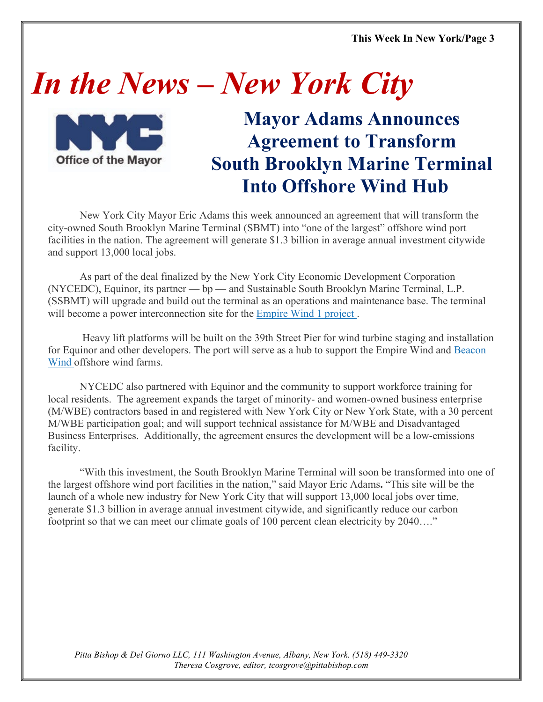# *In the News – New York City*



# **Mayor Adams Announces Agreement to Transform South Brooklyn Marine Terminal Into Offshore Wind Hub**

New York City Mayor Eric Adams this week announced an agreement that will transform the city-owned South Brooklyn Marine Terminal (SBMT) into "one of the largest" offshore wind port facilities in the nation. The agreement will generate \$1.3 billion in average annual investment citywide and support 13,000 local jobs.

As part of the deal finalized by the New York City Economic Development Corporation (NYCEDC), Equinor, its partner — bp — and Sustainable South Brooklyn Marine Terminal, L.P. (SSBMT) will upgrade and build out the terminal as an operations and maintenance base. The terminal will become a power interconnection site for the [Empire Wind 1 project](https://www.nyserda.ny.gov/All-Programs/Offshore-Wind/Focus-Areas/NY-Offshore-Wind-Projects).

Heavy lift platforms will be built on the 39th Street Pier for wind turbine staging and installation for Equinor and other developers. The port will serve as a hub to support the Empire Wind and [Beacon](http://www.beaconwind.com/)  [Wind](http://www.beaconwind.com/) offshore wind farms.

NYCEDC also partnered with Equinor and the community to support workforce training for local residents. The agreement expands the target of minority- and women-owned business enterprise (M/WBE) contractors based in and registered with New York City or New York State, with a 30 percent M/WBE participation goal; and will support technical assistance for M/WBE and Disadvantaged Business Enterprises. Additionally, the agreement ensures the development will be a low-emissions facility.

"With this investment, the South Brooklyn Marine Terminal will soon be transformed into one of the largest offshore wind port facilities in the nation," said Mayor Eric Adams**.** "This site will be the launch of a whole new industry for New York City that will support 13,000 local jobs over time, generate \$1.3 billion in average annual investment citywide, and significantly reduce our carbon footprint so that we can meet our climate goals of 100 percent clean electricity by 2040…."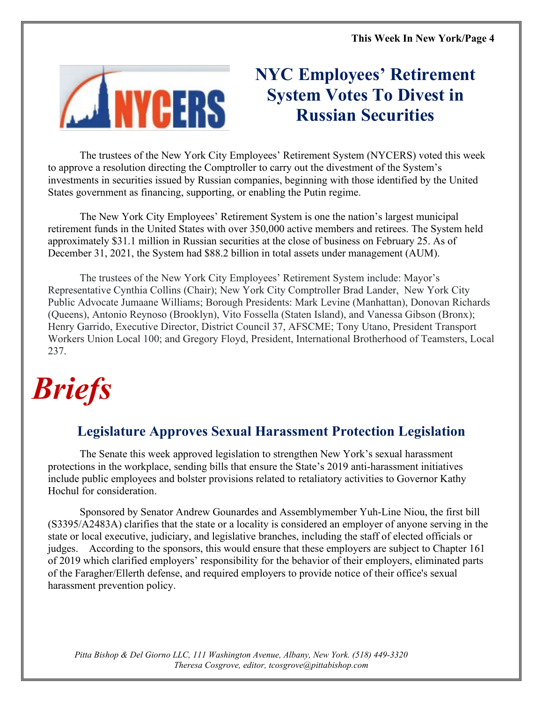

# **NYC Employees' Retirement System Votes To Divest in Russian Securities**

The trustees of the New York City Employees' Retirement System (NYCERS) voted this week to approve a resolution directing the Comptroller to carry out the divestment of the System's investments in securities issued by Russian companies, beginning with those identified by the United States government as financing, supporting, or enabling the Putin regime.

The New York City Employees' Retirement System is one the nation's largest municipal retirement funds in the United States with over 350,000 active members and retirees. The System held approximately \$31.1 million in Russian securities at the close of business on February 25. As of December 31, 2021, the System had \$88.2 billion in total assets under management (AUM).

The trustees of the New York City Employees' Retirement System include: Mayor's Representative Cynthia Collins (Chair); New York City Comptroller Brad Lander, New York City Public Advocate Jumaane Williams; Borough Presidents: Mark Levine (Manhattan), Donovan Richards (Queens), Antonio Reynoso (Brooklyn), Vito Fossella (Staten Island), and Vanessa Gibson (Bronx); Henry Garrido, Executive Director, District Council 37, AFSCME; Tony Utano, President Transport Workers Union Local 100; and Gregory Floyd, President, International Brotherhood of Teamsters, Local 237.

# *Briefs*

# **Legislature Approves Sexual Harassment Protection Legislation**

The Senate this week approved legislation to strengthen New York's sexual harassment protections in the workplace, sending bills that ensure the State's 2019 anti-harassment initiatives include public employees and bolster provisions related to retaliatory activities to Governor Kathy Hochul for consideration.

Sponsored by Senator Andrew Gounardes and Assemblymember Yuh-Line Niou, the first bill (S3395/A2483A) clarifies that the state or a locality is considered an employer of anyone serving in the state or local executive, judiciary, and legislative branches, including the staff of elected officials or judges. According to the sponsors, this would ensure that these employers are subject to Chapter 161 of 2019 which clarified employers' responsibility for the behavior of their employers, eliminated parts of the Faragher/Ellerth defense, and required employers to provide notice of their office's sexual harassment prevention policy.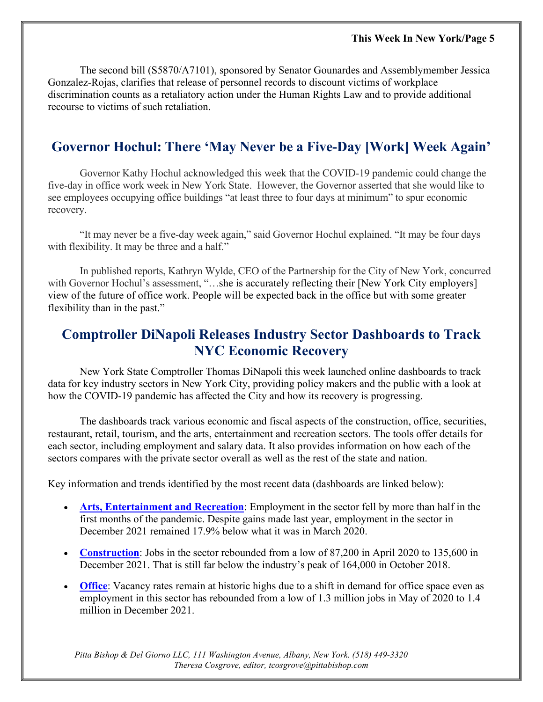The second bill (S5870/A7101), sponsored by Senator Gounardes and Assemblymember Jessica Gonzalez-Rojas, clarifies that release of personnel records to discount victims of workplace discrimination counts as a retaliatory action under the Human Rights Law and to provide additional recourse to victims of such retaliation.

## **Governor Hochul: There 'May Never be a Five-Day [Work] Week Again'**

Governor Kathy Hochul acknowledged this week that the COVID-19 pandemic could change the five-day in office work week in New York State. However, the Governor asserted that she would like to see employees occupying office buildings "at least three to four days at minimum" to spur economic recovery.

"It may never be a five-day week again," said Governor Hochul explained. "It may be four days with flexibility. It may be three and a half."

In published reports, Kathryn Wylde, CEO of the Partnership for the City of New York, concurred with Governor Hochul's assessment, "...she is accurately reflecting their [New York City employers] view of the future of office work. People will be expected back in the office but with some greater flexibility than in the past."

# **Comptroller DiNapoli Releases Industry Sector Dashboards to Track NYC Economic Recovery**

New York State Comptroller Thomas DiNapoli this week launched online dashboards to track data for key industry sectors in New York City, providing policy makers and the public with a look at how the COVID-19 pandemic has affected the City and how its recovery is progressing.

The dashboards track various economic and fiscal aspects of the construction, office, securities, restaurant, retail, tourism, and the arts, entertainment and recreation sectors. The tools offer details for each sector, including employment and salary data. It also provides information on how each of the sectors compares with the private sector overall as well as the rest of the state and nation.

Key information and trends identified by the most recent data (dashboards are linked below):

- **[Arts, Entertainment and Recreation](https://www.osc.state.ny.us/osdc/reports/nyc-sectors/arts-entertainment-and-recreation)**: Employment in the sector fell by more than half in the first months of the pandemic. Despite gains made last year, employment in the sector in December 2021 remained 17.9% below what it was in March 2020.
- **[Construction](https://www.osc.state.ny.us/osdc/reports/nyc-sectors/construction)**: Jobs in the sector rebounded from a low of 87,200 in April 2020 to 135,600 in December 2021. That is still far below the industry's peak of 164,000 in October 2018.
- **[Office](https://www.osc.state.ny.us/osdc/reports/nyc-sectors/office)**: Vacancy rates remain at historic highs due to a shift in demand for office space even as employment in this sector has rebounded from a low of 1.3 million jobs in May of 2020 to 1.4 million in December 2021.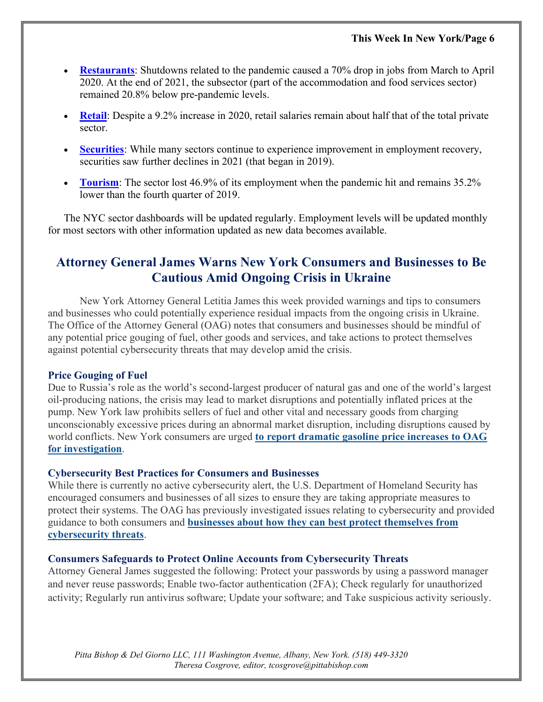- **[Restaurants](https://www.osc.state.ny.us/osdc/reports/nyc-sectors/restaurant)**: Shutdowns related to the pandemic caused a 70% drop in jobs from March to April 2020. At the end of 2021, the subsector (part of the accommodation and food services sector) remained 20.8% below pre-pandemic levels.
- **[Retail](https://www.osc.state.ny.us/osdc/reports/nyc-sectors/retail):** Despite a 9.2% increase in 2020, retail salaries remain about half that of the total private sector.
- **[Securities](https://www.osc.state.ny.us/osdc/reports/nyc-sectors/securities-sector)**: While many sectors continue to experience improvement in employment recovery, securities saw further declines in 2021 (that began in 2019).
- **[Tourism](https://www.osc.state.ny.us/osdc/reports/nyc-sectors/tourism)**: The sector lost 46.9% of its employment when the pandemic hit and remains 35.2% lower than the fourth quarter of 2019.

The NYC sector dashboards will be updated regularly. Employment levels will be updated monthly for most sectors with other information updated as new data becomes available.

## **Attorney General James Warns New York Consumers and Businesses to Be Cautious Amid Ongoing Crisis in Ukraine**

New York Attorney General Letitia James this week provided warnings and tips to consumers and businesses who could potentially experience residual impacts from the ongoing crisis in Ukraine. The Office of the Attorney General (OAG) notes that consumers and businesses should be mindful of any potential price gouging of fuel, other goods and services, and take actions to protect themselves against potential cybersecurity threats that may develop amid the crisis.

#### **Price Gouging of Fuel**

Due to Russia's role as the world's second-largest producer of natural gas and one of the world's largest oil-producing nations, the crisis may lead to market disruptions and potentially inflated prices at the pump. New York law prohibits sellers of fuel and other vital and necessary goods from charging unconscionably excessive prices during an abnormal market disruption, including disruptions caused by world conflicts. New York consumers are urged **[to report dramatic gasoline price increases to OAG](https://formsnym.ag.ny.gov/OAGOnlineSubmissionForm/faces/OAGCFCHome)  [for investigation](https://formsnym.ag.ny.gov/OAGOnlineSubmissionForm/faces/OAGCFCHome)**.

#### **Cybersecurity Best Practices for Consumers and Businesses**

While there is currently no active cybersecurity alert, the U.S. Department of Homeland Security has encouraged consumers and businesses of all sizes to ensure they are taking appropriate measures to protect their systems. The OAG has previously investigated issues relating to cybersecurity and provided guidance to both consumers and **[businesses about how they can best protect themselves from](https://ag.ny.gov/sites/default/files/businessguide-credentialstuffingattacks.pdf)  [cybersecurity threats](https://ag.ny.gov/sites/default/files/businessguide-credentialstuffingattacks.pdf)**.

#### **Consumers Safeguards to Protect Online Accounts from Cybersecurity Threats**

Attorney General James suggested the following: Protect your passwords by using a password manager and never reuse passwords; Enable two-factor authentication (2FA); Check regularly for unauthorized activity; Regularly run antivirus software; Update your software; and Take suspicious activity seriously.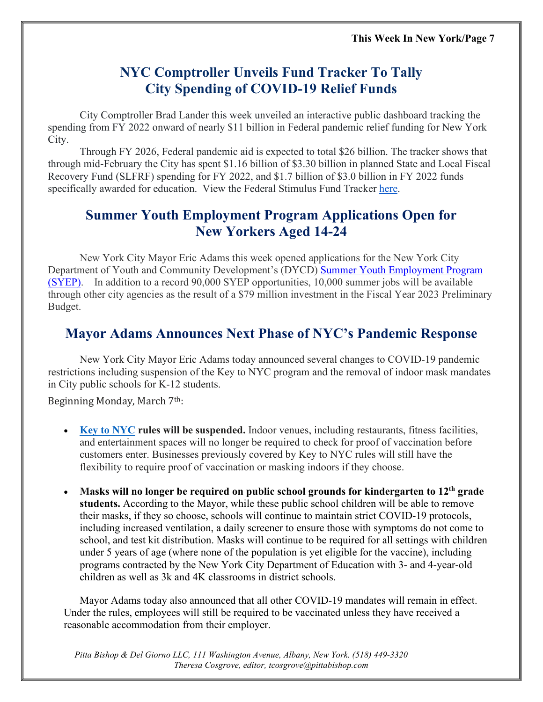# **NYC Comptroller Unveils Fund Tracker To Tally City Spending of COVID-19 Relief Funds**

City Comptroller Brad Lander this week unveiled an interactive public dashboard tracking the spending from FY 2022 onward of nearly \$11 billion in Federal pandemic relief funding for New York City.

Through FY 2026, Federal pandemic aid is expected to total \$26 billion. The tracker shows that through mid-February the City has spent \$1.16 billion of \$3.30 billion in planned State and Local Fiscal Recovery Fund (SLFRF) spending for FY 2022, and \$1.7 billion of \$3.0 billion in FY 2022 funds specifically awarded for education. View the Federal Stimulus Fund Tracker [here.](https://www.checkbooknyc.com/stimulus)

# **Summer Youth Employment Program Applications Open for New Yorkers Aged 14-24**

New York City Mayor Eric Adams this week opened applications for the New York City Department of Youth and Community Development's (DYCD) [Summer Youth Employment Program](https://www1.nyc.gov/site/dycd/services/jobs-internships/summer-youth-employment-program-syep.page)  [\(SYEP\).](https://www1.nyc.gov/site/dycd/services/jobs-internships/summer-youth-employment-program-syep.page) In addition to a record 90,000 SYEP opportunities, 10,000 summer jobs will be available through other city agencies as the result of a \$79 million investment in the Fiscal Year 2023 Preliminary Budget.

# **Mayor Adams Announces Next Phase of NYC's Pandemic Response**

New York City Mayor Eric Adams today announced several changes to COVID-19 pandemic restrictions including suspension of the Key to NYC program and the removal of indoor mask mandates in City public schools for K-12 students.

Beginning Monday, March 7th:

- **[Key to NYC](https://www1.nyc.gov/site/doh/covid/covid-19-vaccines-keytonyc.page) rules will be suspended.** Indoor venues, including restaurants, fitness facilities, and entertainment spaces will no longer be required to check for proof of vaccination before customers enter. Businesses previously covered by Key to NYC rules will still have the flexibility to require proof of vaccination or masking indoors if they choose.
- **Masks will no longer be required on public school grounds for kindergarten to 12th grade students.** According to the Mayor, while these public school children will be able to remove their masks, if they so choose, schools will continue to maintain strict COVID-19 protocols, including increased ventilation, a daily screener to ensure those with symptoms do not come to school, and test kit distribution. Masks will continue to be required for all settings with children under 5 years of age (where none of the population is yet eligible for the vaccine), including programs contracted by the New York City Department of Education with 3- and 4-year-old children as well as 3k and 4K classrooms in district schools.

Mayor Adams today also announced that all other COVID-19 mandates will remain in effect. Under the rules, employees will still be required to be vaccinated unless they have received a reasonable accommodation from their employer.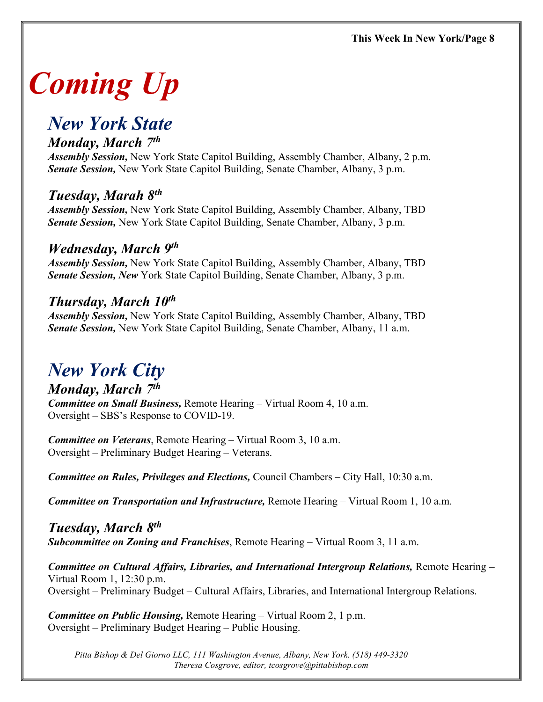# *Coming Up*

# *New York State*

### *Monday, March 7th*

*Assembly Session,* New York State Capitol Building, Assembly Chamber, Albany, 2 p.m. *Senate Session,* New York State Capitol Building, Senate Chamber, Albany, 3 p.m.

# *Tuesday, Marah 8th*

*Assembly Session,* New York State Capitol Building, Assembly Chamber, Albany, TBD *Senate Session,* New York State Capitol Building, Senate Chamber, Albany, 3 p.m.

### *Wednesday, March 9th*

*Assembly Session,* New York State Capitol Building, Assembly Chamber, Albany, TBD *Senate Session, New* York State Capitol Building, Senate Chamber, Albany, 3 p.m.

## *Thursday, March 10th*

*Assembly Session,* New York State Capitol Building, Assembly Chamber, Albany, TBD *Senate Session,* New York State Capitol Building, Senate Chamber, Albany, 11 a.m.

# *New York City*

*Monday, March 7th Committee on Small Business,* Remote Hearing – Virtual Room 4, 10 a.m. Oversight – SBS's Response to COVID-19.

*Committee on Veterans*, Remote Hearing – Virtual Room 3, 10 a.m. Oversight – Preliminary Budget Hearing – Veterans.

*Committee on Rules, Privileges and Elections,* Council Chambers – City Hall, 10:30 a.m.

*Committee on Transportation and Infrastructure,* Remote Hearing – Virtual Room 1, 10 a.m.

*Tuesday, March 8th Subcommittee on Zoning and Franchises*, Remote Hearing – Virtual Room 3, 11 a.m.

*Committee on Cultural Affairs, Libraries, and International Intergroup Relations,* Remote Hearing – Virtual Room 1, 12:30 p.m. Oversight – Preliminary Budget – Cultural Affairs, Libraries, and International Intergroup Relations.

*Committee on Public Housing,* Remote Hearing – Virtual Room 2, 1 p.m. Oversight – Preliminary Budget Hearing – Public Housing.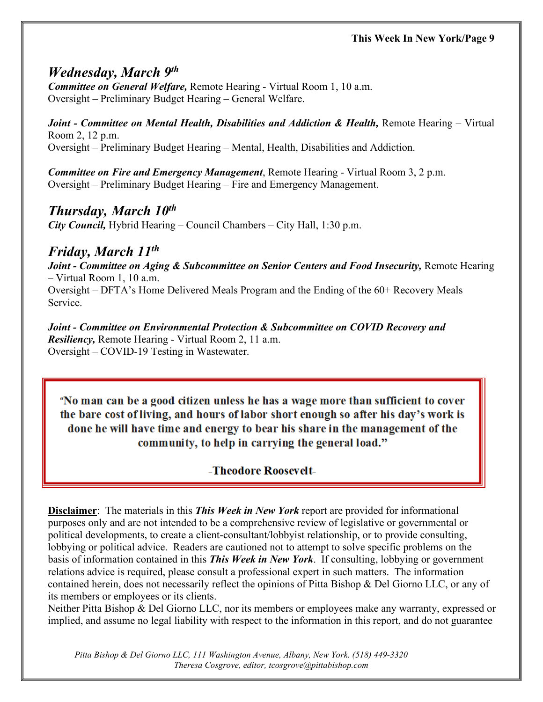## *Wednesday, March 9th*

*Committee on General Welfare,* Remote Hearing - Virtual Room 1, 10 a.m. Oversight – Preliminary Budget Hearing – General Welfare.

*Joint - Committee on Mental Health, Disabilities and Addiction & Health,* Remote Hearing – Virtual Room 2, 12 p.m. Oversight – Preliminary Budget Hearing – Mental, Health, Disabilities and Addiction.

*Committee on Fire and Emergency Management*, Remote Hearing - Virtual Room 3, 2 p.m. Oversight – Preliminary Budget Hearing – Fire and Emergency Management.

## *Thursday, March 10th*

*City Council,* Hybrid Hearing – Council Chambers – City Hall, 1:30 p.m.

## *Friday, March 11th*

*Joint - Committee on Aging & Subcommittee on Senior Centers and Food Insecurity,* Remote Hearing – Virtual Room 1, 10 a.m.

Oversight – DFTA's Home Delivered Meals Program and the Ending of the 60+ Recovery Meals Service.

*Joint - Committee on Environmental Protection & Subcommittee on COVID Recovery and Resiliency,* Remote Hearing - Virtual Room 2, 11 a.m. Oversight – COVID-19 Testing in Wastewater.

"No man can be a good citizen unless he has a wage more than sufficient to cover the bare cost of living, and hours of labor short enough so after his day's work is done he will have time and energy to bear his share in the management of the community, to help in carrying the general load."

-Theodore Roosevelt-

**Disclaimer**: The materials in this *This Week in New York* report are provided for informational purposes only and are not intended to be a comprehensive review of legislative or governmental or political developments, to create a client-consultant/lobbyist relationship, or to provide consulting, lobbying or political advice. Readers are cautioned not to attempt to solve specific problems on the basis of information contained in this *This Week in New York*. If consulting, lobbying or government relations advice is required, please consult a professional expert in such matters. The information contained herein, does not necessarily reflect the opinions of Pitta Bishop & Del Giorno LLC, or any of its members or employees or its clients.

Neither Pitta Bishop & Del Giorno LLC, nor its members or employees make any warranty, expressed or implied, and assume no legal liability with respect to the information in this report, and do not guarantee